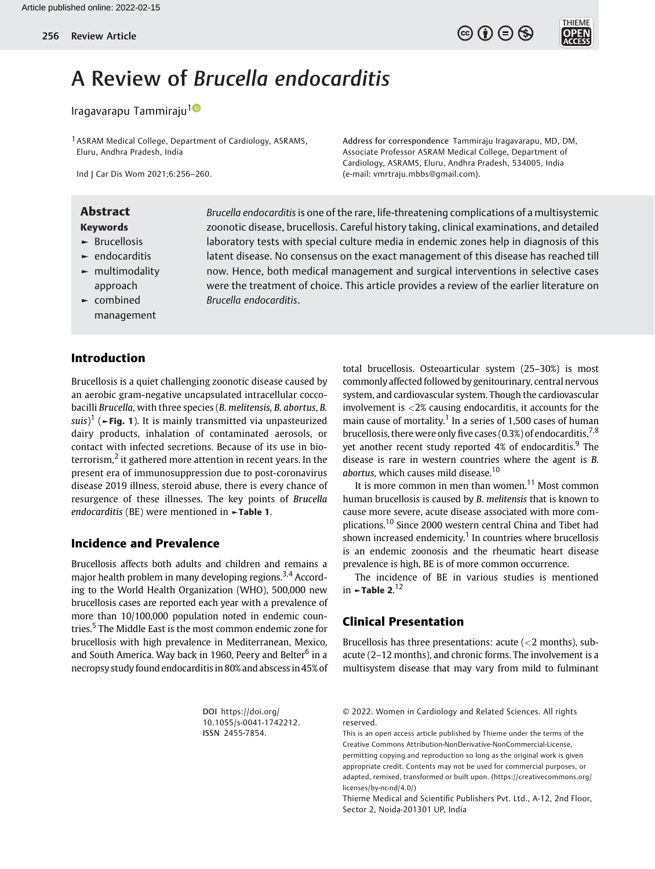Address for correspondence Tammiraju Iragavarapu, MD, DM, Associate Professor ASRAM Medical College, Department of Cardiology, ASRAMS, Eluru, Andhra Pradesh, 534005, India



# A Review of Brucella endocarditis

Iragavarapu Tammiraju<sup>10</sup>

1ASRAM Medical College, Department of Cardiology, ASRAMS, Eluru, Andhra Pradesh, India

Ind J Car Dis Wom 2021;6:256–260.

- Keywords
- ► Brucellosis
- ► endocarditis
- ► multimodality approach
- ► combined management

Abstract Brucella endocarditis is one of the rare, life-threatening complications of a multisystemic zoonotic disease, brucellosis. Careful history taking, clinical examinations, and detailed laboratory tests with special culture media in endemic zones help in diagnosis of this latent disease. No consensus on the exact management of this disease has reached till now. Hence, both medical management and surgical interventions in selective cases were the treatment of choice. This article provides a review of the earlier literature on Brucella endocarditis.

(e-mail: [vmrtraju.mbbs@gmail.com\)](mailto:vmrtraju.mbbs@gmail.com).

# Introduction

Brucellosis is a quiet challenging zoonotic disease caused by an aerobic gram-negative uncapsulated intracellular coccobacilli Brucella, with three species (B. melitensis, B. abortus, B. suis)<sup>1</sup> (**>Fig. 1**). It is mainly transmitted via unpasteurized dairy products, inhalation of contaminated aerosols, or contact with infected secretions. Because of its use in bioterrorism, $<sup>2</sup>$  it gathered more attention in recent years. In the</sup> present era of immunosuppression due to post-coronavirus disease 2019 illness, steroid abuse, there is every chance of resurgence of these illnesses. The key points of Brucella endocarditis (BE) were mentioned in ►Table 1.

# Incidence and Prevalence

Brucellosis affects both adults and children and remains a major health problem in many developing regions.<sup>3,4</sup> According to the World Health Organization (WHO), 500,000 new brucellosis cases are reported each year with a prevalence of more than 10/100,000 population noted in endemic countries.<sup>5</sup> The Middle East is the most common endemic zone for brucellosis with high prevalence in Mediterranean, Mexico, and South America. Way back in 1960, Peery and Belter<sup>6</sup> in a necropsy study found endocarditisin 80% and abscess in 45% of

> DOI [https://doi.org/](https://doi.org/10.1055/s-0041-1742212) [10.1055/s-0041-1742212](https://doi.org/10.1055/s-0041-1742212). ISSN 2455-7854.

total brucellosis. Osteoarticular system (25–30%) is most commonly affected followed by genitourinary, central nervous system, and cardiovascular system. Though the cardiovascular involvement is <2% causing endocarditis, it accounts for the main cause of mortality.<sup>1</sup> In a series of 1,500 cases of human brucellosis, there were only five cases (0.3%) of endocarditis,  $7,8$ yet another recent study reported 4% of endocarditis.<sup>9</sup> The disease is rare in western countries where the agent is B. abortus, which causes mild disease. $10$ 

It is more common in men than women.<sup>11</sup> Most common human brucellosis is caused by B. melitensis that is known to cause more severe, acute disease associated with more complications.<sup>10</sup> Since 2000 western central China and Tibet had shown increased endemicity.<sup>1</sup> In countries where brucellosis is an endemic zoonosis and the rheumatic heart disease prevalence is high, BE is of more common occurrence.

The incidence of BE in various studies is mentioned in  $\sim$ Table 2. $^{12}$ 

# Clinical Presentation

Brucellosis has three presentations: acute  $\left($  < 2 months), subacute (2–12 months), and chronic forms. The involvement is a multisystem disease that may vary from mild to fulminant

<sup>© 2022.</sup> Women in Cardiology and Related Sciences. All rights reserved.

This is an open access article published by Thieme under the terms of the Creative Commons Attribution-NonDerivative-NonCommercial-License, permitting copying and reproduction so long as the original work is given appropriate credit. Contents may not be used for commercial purposes, or adapted, remixed, transformed or built upon. (https://creativecommons.org/ licenses/by-nc-nd/4.0/)

Thieme Medical and Scientific Publishers Pvt. Ltd., A-12, 2nd Floor, Sector 2, Noida-201301 UP, India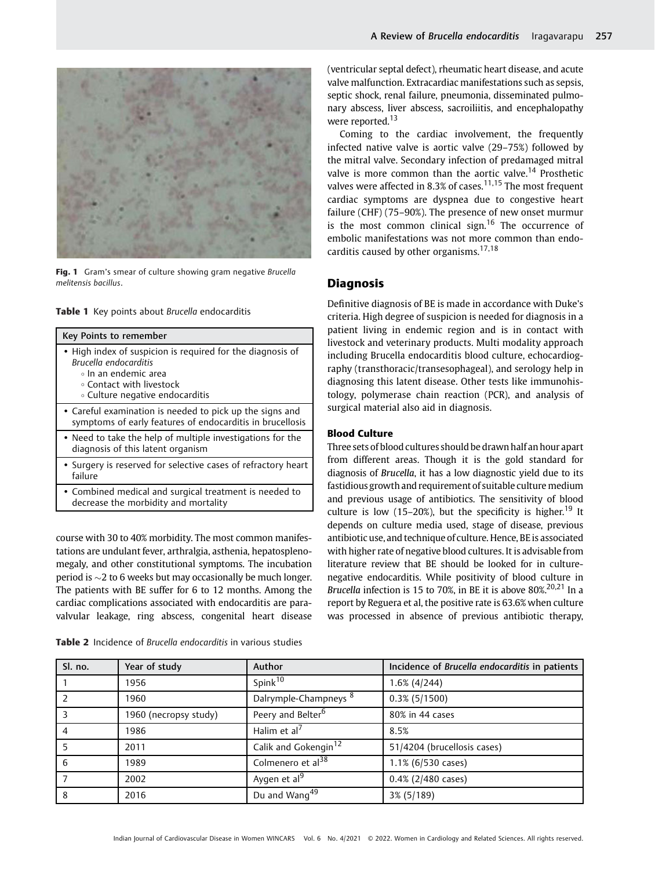(ventricular septal defect), rheumatic heart disease, and acute valve malfunction. Extracardiac manifestations such as sepsis, septic shock, renal failure, pneumonia, disseminated pulmonary abscess, liver abscess, sacroiliitis, and encephalopathy

Coming to the cardiac involvement, the frequently infected native valve is aortic valve (29–75%) followed by the mitral valve. Secondary infection of predamaged mitral valve is more common than the aortic valve.<sup>14</sup> Prosthetic valves were affected in 8.3% of cases.<sup>11,15</sup> The most frequent cardiac symptoms are dyspnea due to congestive heart failure (CHF) (75–90%). The presence of new onset murmur is the most common clinical sign.<sup>16</sup> The occurrence of embolic manifestations was not more common than endo-

Definitive diagnosis of BE is made in accordance with Duke's criteria. High degree of suspicion is needed for diagnosis in a patient living in endemic region and is in contact with livestock and veterinary products. Multi modality approach including Brucella endocarditis blood culture, echocardiography (transthoracic/transesophageal), and serology help in diagnosing this latent disease. Other tests like immunohistology, polymerase chain reaction (PCR), and analysis of

carditis caused by other organisms.17,18

surgical material also aid in diagnosis.

were reported.<sup>13</sup>

**Diagnosis** 



Fig. 1 Gram's smear of culture showing gram negative Brucella melitensis bacillus.

| Table 1 Key points about Brucella endocarditis |
|------------------------------------------------|
|------------------------------------------------|

| Key Points to remember                                                                                                                                                           |
|----------------------------------------------------------------------------------------------------------------------------------------------------------------------------------|
| • High index of suspicion is required for the diagnosis of<br>Brucella endocarditis<br>$\circ$ In an endemic area<br>∘ Contact with livestock<br>• Culture negative endocarditis |
| • Careful examination is needed to pick up the signs and<br>symptoms of early features of endocarditis in brucellosis                                                            |
| • Need to take the help of multiple investigations for the<br>diagnosis of this latent organism                                                                                  |
| • Surgery is reserved for selective cases of refractory heart<br>failure                                                                                                         |
| • Combined medical and surgical treatment is needed to<br>decrease the morbidity and mortality                                                                                   |

course with 30 to 40% morbidity. The most common manifestations are undulant fever, arthralgia, asthenia, hepatosplenomegaly, and other constitutional symptoms. The incubation period is  $\sim$ 2 to 6 weeks but may occasionally be much longer.

The patients with BE suffer for 6 to 12 months. Among the cardiac complications associated with endocarditis are paravalvular leakage, ring abscess, congenital heart disease

Blood Culture

Three sets of blood cultures should be drawn half an hour apart from different areas. Though it is the gold standard for diagnosis of Brucella, it has a low diagnostic yield due to its fastidious growth and requirement of suitable culture medium and previous usage of antibiotics. The sensitivity of blood culture is low (15–20%), but the specificity is higher.<sup>19</sup> It depends on culture media used, stage of disease, previous antibiotic use, and technique of culture. Hence, BE is associated with higher rate of negative blood cultures. It is advisable from literature review that BE should be looked for in culturenegative endocarditis. While positivity of blood culture in Brucella infection is 15 to 70%, in BE it is above  $80\%^{20,21}$  In a report by Reguera et al, the positive rate is 63.6% when culture was processed in absence of previous antibiotic therapy,

| Sl. no. | Year of study         | <b>Author</b>                    | Incidence of Brucella endocarditis in patients |
|---------|-----------------------|----------------------------------|------------------------------------------------|
|         | 1956                  | Spink <sup>10</sup>              | 1.6% (4/244)                                   |
|         | 1960                  | Dalrymple-Champneys <sup>8</sup> | $0.3\%$ (5/1500)                               |
|         | 1960 (necropsy study) | Peery and Belter <sup>6</sup>    | 80% in 44 cases                                |
|         | 1986                  | Halim et al <sup>7</sup>         | 8.5%                                           |
|         | 2011                  | Calik and Gokengin <sup>12</sup> | 51/4204 (brucellosis cases)                    |
| 6       | 1989                  | Colmenero et al <sup>38</sup>    | 1.1% (6/530 cases)                             |
|         | 2002                  | Aygen et al <sup>9</sup>         | $0.4\%$ (2/480 cases)                          |
| 8       | 2016                  | Du and Wang <sup>49</sup>        | 3% (5/189)                                     |

Table 2 Incidence of Brucella endocarditis in various studies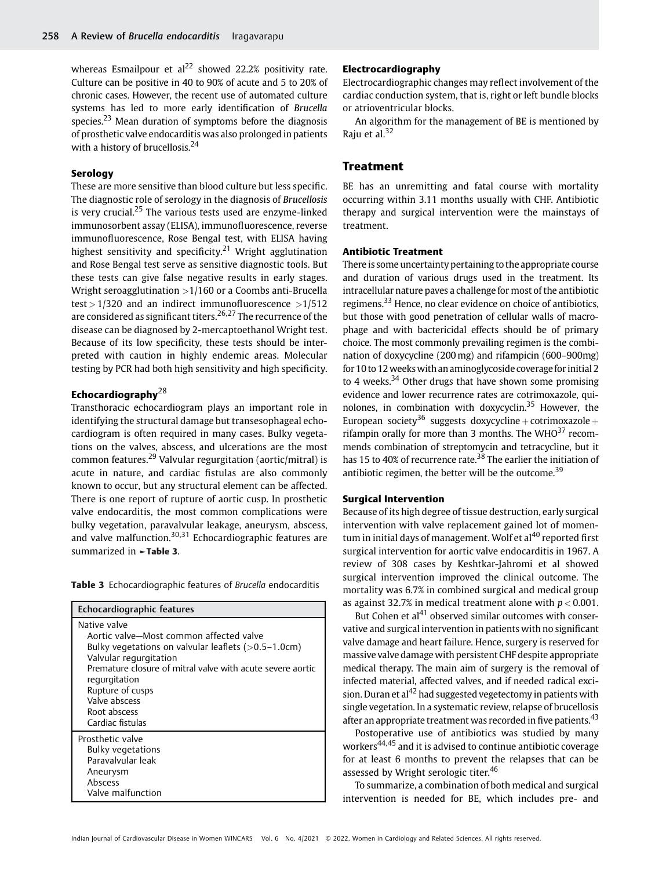whereas Esmailpour et  $al^{22}$  showed 22.2% positivity rate. Culture can be positive in 40 to 90% of acute and 5 to 20% of chronic cases. However, the recent use of automated culture systems has led to more early identification of Brucella species.<sup>23</sup> Mean duration of symptoms before the diagnosis of prosthetic valve endocarditis was also prolonged in patients with a history of brucellosis.<sup>24</sup>

#### Serology

These are more sensitive than blood culture but less specific. The diagnostic role of serology in the diagnosis of Brucellosis is very crucial. $25$  The various tests used are enzyme-linked immunosorbent assay (ELISA), immunofluorescence, reverse immunofluorescence, Rose Bengal test, with ELISA having highest sensitivity and specificity.<sup>21</sup> Wright agglutination and Rose Bengal test serve as sensitive diagnostic tools. But these tests can give false negative results in early stages. Wright seroagglutination >1/160 or a Coombs anti-Brucella test >  $1/320$  and an indirect immunofluorescence >  $1/512$ are considered as significant titers.<sup>26,27</sup> The recurrence of the disease can be diagnosed by 2-mercaptoethanol Wright test. Because of its low specificity, these tests should be interpreted with caution in highly endemic areas. Molecular testing by PCR had both high sensitivity and high specificity.

### Echocardiography $^{28}$

Transthoracic echocardiogram plays an important role in identifying the structural damage but transesophageal echocardiogram is often required in many cases. Bulky vegetations on the valves, abscess, and ulcerations are the most common features.<sup>29</sup> Valvular regurgitation (aortic/mitral) is acute in nature, and cardiac fistulas are also commonly known to occur, but any structural element can be affected. There is one report of rupture of aortic cusp. In prosthetic valve endocarditis, the most common complications were bulky vegetation, paravalvular leakage, aneurysm, abscess, and valve malfunction.<sup>30,31</sup> Echocardiographic features are summarized in ►Table 3.

Table 3 Echocardiographic features of Brucella endocarditis

| Echocardiographic features                                                                                                                                                                                                                                                                         |
|----------------------------------------------------------------------------------------------------------------------------------------------------------------------------------------------------------------------------------------------------------------------------------------------------|
| Native valve<br>Aortic valve-Most common affected valve<br>Bulky vegetations on valvular leaflets $(>0.5-1.0cm)$<br>Valvular regurgitation<br>Premature closure of mitral valve with acute severe aortic<br>regurgitation<br>Rupture of cusps<br>Valve abscess<br>Root abscess<br>Cardiac fistulas |
| Prosthetic valve<br><b>Bulky vegetations</b><br>Paravalvular leak<br>Aneurysm<br><b>Abscess</b><br>Valve malfunction                                                                                                                                                                               |

#### Electrocardiography

Electrocardiographic changes may reflect involvement of the cardiac conduction system, that is, right or left bundle blocks or atrioventricular blocks.

An algorithm for the management of BE is mentioned by Raju et al. $32$ 

## Treatment

BE has an unremitting and fatal course with mortality occurring within 3.11 months usually with CHF. Antibiotic therapy and surgical intervention were the mainstays of treatment.

#### Antibiotic Treatment

There is some uncertainty pertaining to the appropriate course and duration of various drugs used in the treatment. Its intracellular nature paves a challenge for most of the antibiotic regimens.<sup>33</sup> Hence, no clear evidence on choice of antibiotics, but those with good penetration of cellular walls of macrophage and with bactericidal effects should be of primary choice. The most commonly prevailing regimen is the combination of doxycycline (200 mg) and rifampicin (600–900mg) for 10 to 12weekswith an aminoglycoside coverage for initial 2 to 4 weeks.<sup>34</sup> Other drugs that have shown some promising evidence and lower recurrence rates are cotrimoxazole, quinolones, in combination with doxycyclin. $35$  However, the European society<sup>36</sup> suggests doxycycline + cotrimoxazole + rifampin orally for more than 3 months. The WHO $37$  recommends combination of streptomycin and tetracycline, but it has 15 to 40% of recurrence rate.<sup>38</sup> The earlier the initiation of antibiotic regimen, the better will be the outcome.<sup>39</sup>

#### Surgical Intervention

Because of its high degree of tissue destruction, early surgical intervention with valve replacement gained lot of momentum in initial days of management. Wolf et al<sup>40</sup> reported first surgical intervention for aortic valve endocarditis in 1967. A review of 308 cases by Keshtkar-Jahromi et al showed surgical intervention improved the clinical outcome. The mortality was 6.7% in combined surgical and medical group as against 32.7% in medical treatment alone with  $p < 0.001$ .

But Cohen et al<sup>41</sup> observed similar outcomes with conservative and surgical intervention in patients with no significant valve damage and heart failure. Hence, surgery is reserved for massive valve damage with persistent CHF despite appropriate medical therapy. The main aim of surgery is the removal of infected material, affected valves, and if needed radical excision. Duran et al<sup>42</sup> had suggested vegetectomy in patients with single vegetation. In a systematic review, relapse of brucellosis after an appropriate treatment was recorded in five patients.<sup>43</sup>

Postoperative use of antibiotics was studied by many workers<sup>44,45</sup> and it is advised to continue antibiotic coverage for at least 6 months to prevent the relapses that can be assessed by Wright serologic titer.<sup>46</sup>

To summarize, a combination of both medical and surgical intervention is needed for BE, which includes pre- and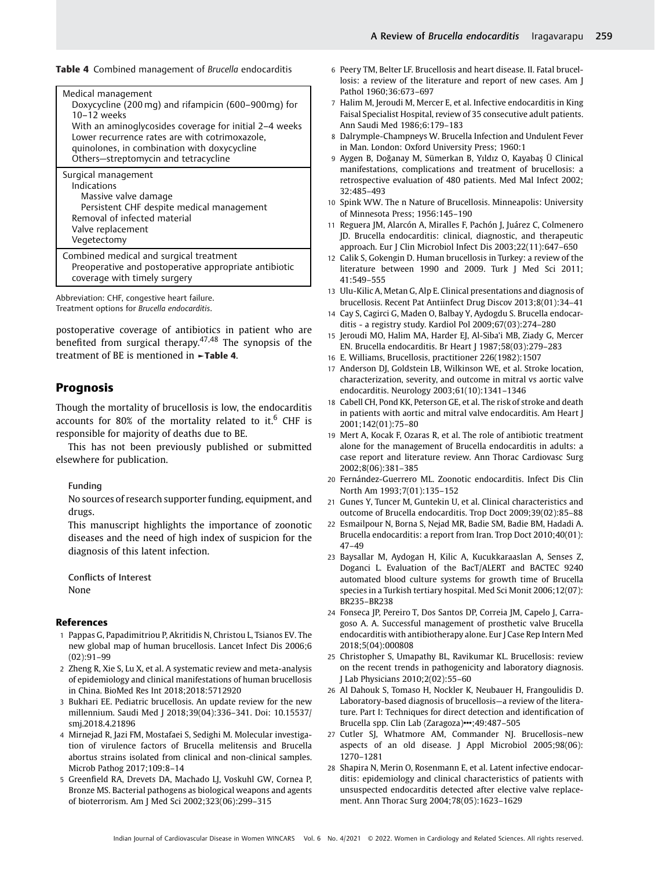| Medical management<br>Doxycycline (200 mg) and rifampicin (600-900mg) for<br>10-12 weeks<br>With an aminoglycosides coverage for initial 2-4 weeks<br>Lower recurrence rates are with cotrimoxazole,<br>quinolones, in combination with doxycycline<br>Others-streptomycin and tetracycline |  |
|---------------------------------------------------------------------------------------------------------------------------------------------------------------------------------------------------------------------------------------------------------------------------------------------|--|
| Surgical management<br>Indications<br>Massive valve damage<br>Persistent CHF despite medical management<br>Removal of infected material<br>Valve replacement<br>Vegetectomy                                                                                                                 |  |
| Combined medical and surgical treatment<br>Preoperative and postoperative appropriate antibiotic<br>coverage with timely surgery                                                                                                                                                            |  |

Abbreviation: CHF, congestive heart failure. Treatment options for Brucella endocarditis.

postoperative coverage of antibiotics in patient who are benefited from surgical therapy. $47,48$  The synopsis of the treatment of BE is mentioned in ►Table 4.

# Prognosis

Though the mortality of brucellosis is low, the endocarditis accounts for 80% of the mortality related to it.<sup>6</sup> CHF is responsible for majority of deaths due to BE.

This has not been previously published or submitted elsewhere for publication.

#### Funding

No sources of research supporter funding, equipment, and drugs.

This manuscript highlights the importance of zoonotic diseases and the need of high index of suspicion for the diagnosis of this latent infection.

Conflicts of Interest None

#### References

- 1 Pappas G, Papadimitriou P, Akritidis N, Christou L, Tsianos EV. The new global map of human brucellosis. Lancet Infect Dis 2006;6 (02):91–99
- 2 Zheng R, Xie S, Lu X, et al. A systematic review and meta-analysis of epidemiology and clinical manifestations of human brucellosis in China. BioMed Res Int 2018;2018:5712920
- 3 Bukhari EE. Pediatric brucellosis. An update review for the new millennium. Saudi Med J 2018;39(04):336–341. Doi: 10.15537/ smj.2018.4.21896
- 4 Mirnejad R, Jazi FM, Mostafaei S, Sedighi M. Molecular investigation of virulence factors of Brucella melitensis and Brucella abortus strains isolated from clinical and non-clinical samples. Microb Pathog 2017;109:8–14
- 5 Greenfield RA, Drevets DA, Machado LJ, Voskuhl GW, Cornea P, Bronze MS. Bacterial pathogens as biological weapons and agents of bioterrorism. Am J Med Sci 2002;323(06):299–315
- 6 Peery TM, Belter LF. Brucellosis and heart disease. II. Fatal brucellosis: a review of the literature and report of new cases. Am J Pathol 1960;36:673–697
- 7 Halim M, Jeroudi M, Mercer E, et al. Infective endocarditis in King Faisal Specialist Hospital, review of 35 consecutive adult patients. Ann Saudi Med 1986;6:179–183
- 8 Dalrymple-Champneys W. Brucella Infection and Undulent Fever in Man. London: Oxford University Press; 1960:1
- 9 Aygen B, Doğanay M, Sümerkan B, Yıldız O, Kayabaş Ü Clinical manifestations, complications and treatment of brucellosis: a retrospective evaluation of 480 patients. Med Mal Infect 2002; 32:485–493
- 10 Spink WW. The n Nature of Brucellosis. Minneapolis: University of Minnesota Press; 1956:145–190
- 11 Reguera JM, Alarcón A, Miralles F, Pachón J, Juárez C, Colmenero JD. Brucella endocarditis: clinical, diagnostic, and therapeutic approach. Eur J Clin Microbiol Infect Dis 2003;22(11):647–650
- 12 Calik S, Gokengin D. Human brucellosis in Turkey: a review of the literature between 1990 and 2009. Turk J Med Sci 2011; 41:549–555
- 13 Ulu-Kilic A, Metan G, Alp E. Clinical presentations and diagnosis of brucellosis. Recent Pat Antiinfect Drug Discov 2013;8(01):34–41
- 14 Cay S, Cagirci G, Maden O, Balbay Y, Aydogdu S. Brucella endocarditis - a registry study. Kardiol Pol 2009;67(03):274–280
- 15 Jeroudi MO, Halim MA, Harder EJ, Al-Siba'i MB, Ziady G, Mercer EN. Brucella endocarditis. Br Heart J 1987;58(03):279–283
- 16 E. Williams, Brucellosis, practitioner 226(1982):1507
- 17 Anderson DJ, Goldstein LB, Wilkinson WE, et al. Stroke location, characterization, severity, and outcome in mitral vs aortic valve endocarditis. Neurology 2003;61(10):1341–1346
- 18 Cabell CH, Pond KK, Peterson GE, et al. The risk of stroke and death in patients with aortic and mitral valve endocarditis. Am Heart J 2001;142(01):75–80
- 19 Mert A, Kocak F, Ozaras R, et al. The role of antibiotic treatment alone for the management of Brucella endocarditis in adults: a case report and literature review. Ann Thorac Cardiovasc Surg 2002;8(06):381–385
- 20 Fernández-Guerrero ML. Zoonotic endocarditis. Infect Dis Clin North Am 1993;7(01):135–152
- 21 Gunes Y, Tuncer M, Guntekin U, et al. Clinical characteristics and outcome of Brucella endocarditis. Trop Doct 2009;39(02):85–88
- 22 Esmailpour N, Borna S, Nejad MR, Badie SM, Badie BM, Hadadi A. Brucella endocarditis: a report from Iran. Trop Doct 2010;40(01): 47–49
- 23 Baysallar M, Aydogan H, Kilic A, Kucukkaraaslan A, Senses Z, Doganci L. Evaluation of the BacT/ALERT and BACTEC 9240 automated blood culture systems for growth time of Brucella species in a Turkish tertiary hospital. Med Sci Monit 2006;12(07): BR235–BR238
- 24 Fonseca JP, Pereiro T, Dos Santos DP, Correia JM, Capelo J, Carragoso A. A. Successful management of prosthetic valve Brucella endocarditis with antibiotherapy alone. Eur J Case Rep Intern Med 2018;5(04):000808
- 25 Christopher S, Umapathy BL, Ravikumar KL. Brucellosis: review on the recent trends in pathogenicity and laboratory diagnosis. J Lab Physicians 2010;2(02):55–60
- 26 Al Dahouk S, Tomaso H, Nockler K, Neubauer H, Frangoulidis D. Laboratory-based diagnosis of brucellosis—a review of the literature. Part I: Techniques for direct detection and identification of Brucella spp. Clin Lab (Zaragoza)•••;49:487–505
- 27 Cutler SJ, Whatmore AM, Commander NJ. Brucellosis–new aspects of an old disease. J Appl Microbiol 2005;98(06): 1270–1281
- 28 Shapira N, Merin O, Rosenmann E, et al. Latent infective endocarditis: epidemiology and clinical characteristics of patients with unsuspected endocarditis detected after elective valve replacement. Ann Thorac Surg 2004;78(05):1623–1629